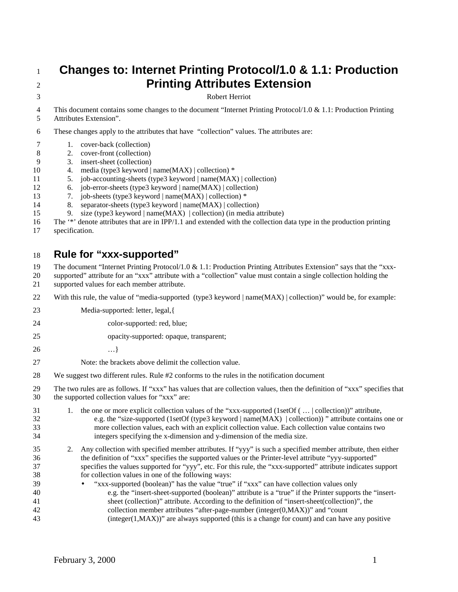## **Changes to: Internet Printing Protocol/1.0 & 1.1: Production Printing Attributes Extension**

Robert Herriot

4 This document contains some changes to the document "Internet Printing Protocol/1.0 & 1.1: Production Printing Attributes Extension".

These changes apply to the attributes that have "collection" values. The attributes are:

- 1. cover-back (collection)
- 2. cover-front (collection)
- 3. insert-sheet (collection)
- 4. media (type3 keyword | name(MAX) | collection) \*
- 5. job-accounting-sheets (type3 keyword | name(MAX) | collection)
- 6. job-error-sheets (type3 keyword | name(MAX) | collection)
- 7. job-sheets (type3 keyword | name(MAX) | collection) \*
- 8. separator-sheets (type3 keyword | name(MAX) | collection)
- 15 9. size (type3 keyword | name(MAX) | collection) (in media attribute)
- The '\*' denote attributes that are in IPP/1.1 and extended with the collection data type in the production printing
- specification.

## **Rule for "xxx-supported"**

The document "Internet Printing Protocol/1.0 & 1.1: Production Printing Attributes Extension" says that the "xxx-

- supported" attribute for an "xxx" attribute with a "collection" value must contain a single collection holding the supported values for each member attribute.
- 22 With this rule, the value of "media-supported (type3 keyword | name(MAX) | collection)" would be, for example:
- 23 Media-supported: letter, legal, {
- color-supported: red, blue;
- opacity-supported: opaque, transparent;
- …}

Note: the brackets above delimit the collection value.

We suggest two different rules. Rule #2 conforms to the rules in the notification document

 The two rules are as follows. If "xxx" has values that are collection values, then the definition of "xxx" specifies that the supported collection values for "xxx" are:

- 1. the one or more explicit collection values of the "xxx-supported (1setOf ( … | collection))" attribute, e.g. the "size-supported (1setOf (type3 keyword | name(MAX) | collection)) " attribute contains one or more collection values, each with an explicit collection value. Each collection value contains two integers specifying the x-dimension and y-dimension of the media size.
- 2. Any collection with specified member attributes. If "yyy" is such a specified member attribute, then either the definition of "xxx" specifies the supported values or the Printer-level attribute "yyy-supported" specifies the values supported for "yyy", etc. For this rule, the "xxx-supported" attribute indicates support for collection values in one of the following ways:
- "xxx-supported (boolean)" has the value "true" if "xxx" can have collection values only e.g. the "insert-sheet-supported (boolean)" attribute is a "true" if the Printer supports the "insert- sheet (collection)" attribute. According to the definition of "insert-sheet(collection)", the collection member attributes "after-page-number (integer(0,MAX))" and "count (integer(1,MAX))" are always supported (this is a change for count) and can have any positive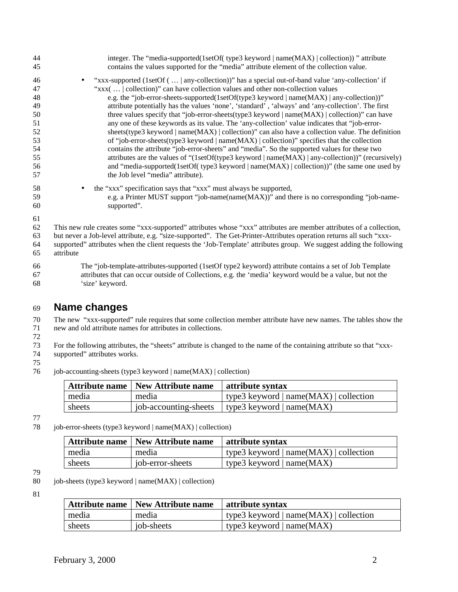| 44 | integer. The "media-supported(1setOf( type3 keyword   name(MAX)   collection)) " attribute                          |
|----|---------------------------------------------------------------------------------------------------------------------|
| 45 | contains the values supported for the "media" attribute element of the collection value.                            |
| 46 | "xxx-supported (1setOf $(\ldots  $ any-collection)" has a special out-of-band value 'any-collection' if             |
| 47 | "xxx(   collection)" can have collection values and other non-collection values                                     |
| 48 | e.g. the "job-error-sheets-supported(1setOf(type3 keyword   name(MAX)   any-collection))"                           |
| 49 | attribute potentially has the values 'none', 'standard', 'always' and 'any-collection'. The first                   |
| 50 | three values specify that "job-error-sheets(type3 keyword   name(MAX)   collection)" can have                       |
| 51 | any one of these keywords as its value. The 'any-collection' value indicates that "job-error-                       |
| 52 | sheets (type3 keyword   name $(MAX)$   collection)" can also have a collection value. The definition                |
| 53 | of "job-error-sheets(type3 keyword   name $(MAX)$   collection)" specifies that the collection                      |
| 54 | contains the attribute "job-error-sheets" and "media". So the supported values for these two                        |
| 55 | attributes are the values of "(1setOf(type3 keyword $ name(MAX) $ any-collection))" (recursively)                   |
| 56 | and "media-supported(1setOf(type3 keyword   name(MAX)   collection))" (the same one used by                         |
| 57 | the Job level "media" attribute).                                                                                   |
| 58 | the "xxx" specification says that "xxx" must always be supported,                                                   |
| 59 | e.g. a Printer MUST support "job-name(name(MAX))" and there is no corresponding "job-name-                          |
| 60 | supported".                                                                                                         |
| 61 |                                                                                                                     |
| 62 | This new rule creates some "xxx-supported" attributes whose "xxx" attributes are member attributes of a collection, |
| 63 | but never a Job-level attribute, e.g. "size-supported". The Get-Printer-Attributes operation returns all such "xxx- |
| 64 | supported" attributes when the client requests the 'Job-Template' attributes group. We suggest adding the following |
| 65 | attribute                                                                                                           |
|    |                                                                                                                     |
| 66 | The "job-template-attributes-supported (1setOf type2 keyword) attribute contains a set of Job Template              |
| 67 | attributes that can occur outside of Collections, e.g. the 'media' keyword would be a value, but not the            |
| 68 | 'size' keyword.                                                                                                     |

## **Name changes**

 The new "xxx-supported" rule requires that some collection member attribute have new names. The tables show the new and old attribute names for attributes in collections.

 For the following attributes, the "sheets" attribute is changed to the name of the containing attribute so that "xxxsupported" attributes works.

job-accounting-sheets (type3 keyword | name(MAX) | collection)

|        | Attribute name   New Attribute name | attribute syntax                                        |
|--------|-------------------------------------|---------------------------------------------------------|
| media  | media                               | $\mid$ type3 keyword $\mid$ name(MAX) $\mid$ collection |
| sheets |                                     | job-accounting-sheets   type3 keyword $ $ name(MAX)     |

78 job-error-sheets (type3 keyword | name(MAX) | collection)

| Attribute name   New Attribute name |                  | attribute syntax                                           |
|-------------------------------------|------------------|------------------------------------------------------------|
| media                               | media            | $\vert$ type3 keyword $\vert$ name(MAX) $\vert$ collection |
| sheets                              | job-error-sheets | type3 keyword $  name(MAX) $                               |

job-sheets (type3 keyword | name(MAX) | collection)

|        | Attribute name   New Attribute name | attribute syntax                       |
|--------|-------------------------------------|----------------------------------------|
| media  | media                               | type3 keyword $ name(MAX) $ collection |
| sheets | job-sheets                          | type3 keyword $ name(MAX) $            |